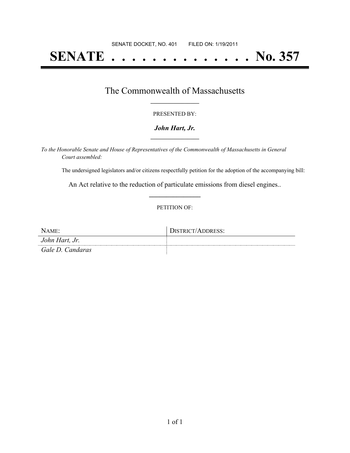# **SENATE . . . . . . . . . . . . . . No. 357**

### The Commonwealth of Massachusetts **\_\_\_\_\_\_\_\_\_\_\_\_\_\_\_\_\_**

#### PRESENTED BY:

#### *John Hart, Jr.* **\_\_\_\_\_\_\_\_\_\_\_\_\_\_\_\_\_**

*To the Honorable Senate and House of Representatives of the Commonwealth of Massachusetts in General Court assembled:*

The undersigned legislators and/or citizens respectfully petition for the adoption of the accompanying bill:

An Act relative to the reduction of particulate emissions from diesel engines.. **\_\_\_\_\_\_\_\_\_\_\_\_\_\_\_**

#### PETITION OF:

| NAME:            | DISTRICT/ADDRESS: |
|------------------|-------------------|
| John Hart, Jr.   |                   |
| Gale D. Candaras |                   |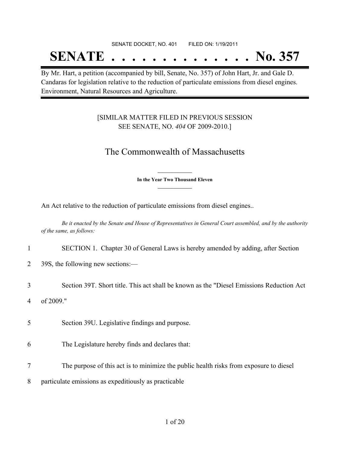### SENATE DOCKET, NO. 401 FILED ON: 1/19/2011 **SENATE . . . . . . . . . . . . . . No. 357**

By Mr. Hart, a petition (accompanied by bill, Senate, No. 357) of John Hart, Jr. and Gale D. Candaras for legislation relative to the reduction of particulate emissions from diesel engines. Environment, Natural Resources and Agriculture.

### [SIMILAR MATTER FILED IN PREVIOUS SESSION SEE SENATE, NO. *404* OF 2009-2010.]

### The Commonwealth of Massachusetts

**\_\_\_\_\_\_\_\_\_\_\_\_\_\_\_ In the Year Two Thousand Eleven \_\_\_\_\_\_\_\_\_\_\_\_\_\_\_**

An Act relative to the reduction of particulate emissions from diesel engines..

Be it enacted by the Senate and House of Representatives in General Court assembled, and by the authority *of the same, as follows:*

- 1 SECTION 1. Chapter 30 of General Laws is hereby amended by adding, after Section
- 2 39S, the following new sections:—
- 3 Section 39T. Short title. This act shall be known as the "Diesel Emissions Reduction Act 4 of 2009."
- 5 Section 39U. Legislative findings and purpose.
- 6 The Legislature hereby finds and declares that:
- 7 The purpose of this act is to minimize the public health risks from exposure to diesel
- 8 particulate emissions as expeditiously as practicable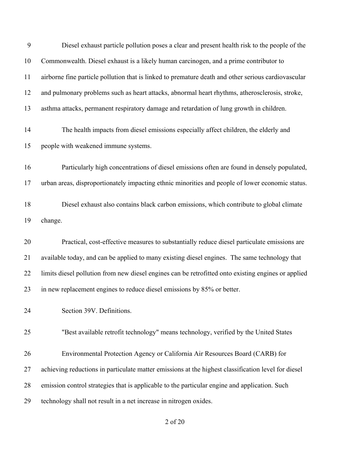| 9  | Diesel exhaust particle pollution poses a clear and present health risk to the people of the        |
|----|-----------------------------------------------------------------------------------------------------|
| 10 | Commonwealth. Diesel exhaust is a likely human carcinogen, and a prime contributor to               |
| 11 | airborne fine particle pollution that is linked to premature death and other serious cardiovascular |
| 12 | and pulmonary problems such as heart attacks, abnormal heart rhythms, atherosclerosis, stroke,      |
| 13 | asthma attacks, permanent respiratory damage and retardation of lung growth in children.            |
| 14 | The health impacts from diesel emissions especially affect children, the elderly and                |
| 15 | people with weakened immune systems.                                                                |
| 16 | Particularly high concentrations of diesel emissions often are found in densely populated,          |
| 17 | urban areas, disproportionately impacting ethnic minorities and people of lower economic status.    |
| 18 | Diesel exhaust also contains black carbon emissions, which contribute to global climate             |
| 19 | change.                                                                                             |
| 20 | Practical, cost-effective measures to substantially reduce diesel particulate emissions are         |
| 21 | available today, and can be applied to many existing diesel engines. The same technology that       |
| 22 | limits diesel pollution from new diesel engines can be retrofitted onto existing engines or applied |
| 23 | in new replacement engines to reduce diesel emissions by 85% or better.                             |
| 24 | Section 39V. Definitions.                                                                           |
| 25 | "Best available retrofit technology" means technology, verified by the United States                |
| 26 | Environmental Protection Agency or California Air Resources Board (CARB) for                        |
| 27 | achieving reductions in particulate matter emissions at the highest classification level for diesel |
| 28 | emission control strategies that is applicable to the particular engine and application. Such       |
| 29 | technology shall not result in a net increase in nitrogen oxides.                                   |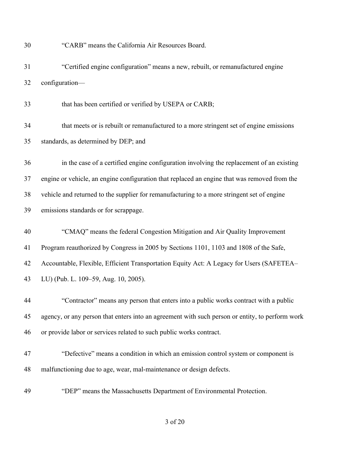"CARB" means the California Air Resources Board.

 "Certified engine configuration" means a new, rebuilt, or remanufactured engine configuration—

that has been certified or verified by USEPA or CARB;

 that meets or is rebuilt or remanufactured to a more stringent set of engine emissions standards, as determined by DEP; and

 in the case of a certified engine configuration involving the replacement of an existing engine or vehicle, an engine configuration that replaced an engine that was removed from the vehicle and returned to the supplier for remanufacturing to a more stringent set of engine emissions standards or for scrappage.

## "CMAQ" means the federal Congestion Mitigation and Air Quality Improvement Program reauthorized by Congress in 2005 by Sections 1101, 1103 and 1808 of the Safe, Accountable, Flexible, Efficient Transportation Equity Act: A Legacy for Users (SAFETEA– LU) (Pub. L. 109–59, Aug. 10, 2005).

 "Contractor" means any person that enters into a public works contract with a public agency, or any person that enters into an agreement with such person or entity, to perform work or provide labor or services related to such public works contract.

- "Defective" means a condition in which an emission control system or component is malfunctioning due to age, wear, mal-maintenance or design defects.
- "DEP" means the Massachusetts Department of Environmental Protection.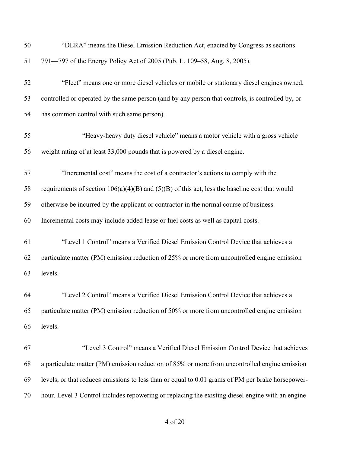| 50 | "DERA" means the Diesel Emission Reduction Act, enacted by Congress as sections                    |
|----|----------------------------------------------------------------------------------------------------|
| 51 | 791—797 of the Energy Policy Act of 2005 (Pub. L. 109–58, Aug. 8, 2005).                           |
| 52 | "Fleet" means one or more diesel vehicles or mobile or stationary diesel engines owned,            |
| 53 | controlled or operated by the same person (and by any person that controls, is controlled by, or   |
| 54 | has common control with such same person).                                                         |
| 55 | "Heavy-heavy duty diesel vehicle" means a motor vehicle with a gross vehicle                       |
| 56 | weight rating of at least 33,000 pounds that is powered by a diesel engine.                        |
| 57 | "Incremental cost" means the cost of a contractor's actions to comply with the                     |
| 58 | requirements of section $106(a)(4)(B)$ and $(5)(B)$ of this act, less the baseline cost that would |
| 59 | otherwise be incurred by the applicant or contractor in the normal course of business.             |
| 60 | Incremental costs may include added lease or fuel costs as well as capital costs.                  |
| 61 | "Level 1 Control" means a Verified Diesel Emission Control Device that achieves a                  |
| 62 | particulate matter (PM) emission reduction of 25% or more from uncontrolled engine emission        |
| 63 | levels.                                                                                            |
| 64 | "Level 2 Control" means a Verified Diesel Emission Control Device that achieves a                  |
| 65 | particulate matter (PM) emission reduction of 50% or more from uncontrolled engine emission        |
| 66 | levels.                                                                                            |
| 67 | "Level 3 Control" means a Verified Diesel Emission Control Device that achieves                    |
| 68 | a particulate matter (PM) emission reduction of 85% or more from uncontrolled engine emission      |
| 69 | levels, or that reduces emissions to less than or equal to 0.01 grams of PM per brake horsepower-  |
| 70 | hour. Level 3 Control includes repowering or replacing the existing diesel engine with an engine   |
|    |                                                                                                    |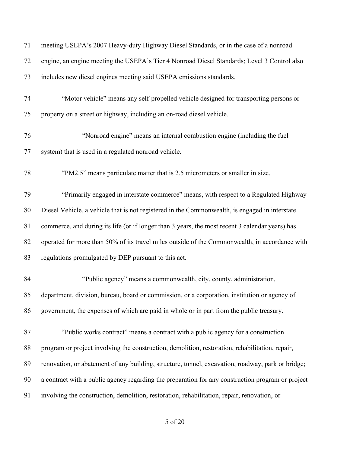| 71 | meeting USEPA's 2007 Heavy-duty Highway Diesel Standards, or in the case of a nonroad             |
|----|---------------------------------------------------------------------------------------------------|
| 72 | engine, an engine meeting the USEPA's Tier 4 Nonroad Diesel Standards; Level 3 Control also       |
| 73 | includes new diesel engines meeting said USEPA emissions standards.                               |
| 74 | "Motor vehicle" means any self-propelled vehicle designed for transporting persons or             |
| 75 | property on a street or highway, including an on-road diesel vehicle.                             |
| 76 | "Nonroad engine" means an internal combustion engine (including the fuel                          |
| 77 | system) that is used in a regulated nonroad vehicle.                                              |
| 78 | "PM2.5" means particulate matter that is 2.5 micrometers or smaller in size.                      |
| 79 | "Primarily engaged in interstate commerce" means, with respect to a Regulated Highway             |
| 80 | Diesel Vehicle, a vehicle that is not registered in the Commonwealth, is engaged in interstate    |
| 81 | commerce, and during its life (or if longer than 3 years, the most recent 3 calendar years) has   |
| 82 | operated for more than 50% of its travel miles outside of the Commonwealth, in accordance with    |
| 83 | regulations promulgated by DEP pursuant to this act.                                              |
| 84 | "Public agency" means a commonwealth, city, county, administration,                               |
| 85 | department, division, bureau, board or commission, or a corporation, institution or agency of     |
| 86 | government, the expenses of which are paid in whole or in part from the public treasury.          |
| 87 | "Public works contract" means a contract with a public agency for a construction                  |
| 88 | program or project involving the construction, demolition, restoration, rehabilitation, repair,   |
| 89 | renovation, or abatement of any building, structure, tunnel, excavation, roadway, park or bridge; |
| 90 | a contract with a public agency regarding the preparation for any construction program or project |
| 91 | involving the construction, demolition, restoration, rehabilitation, repair, renovation, or       |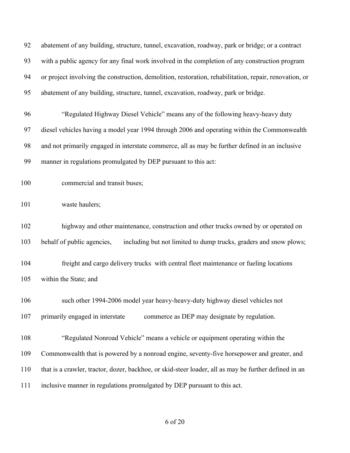| 92  | abatement of any building, structure, tunnel, excavation, roadway, park or bridge; or a contract       |
|-----|--------------------------------------------------------------------------------------------------------|
| 93  | with a public agency for any final work involved in the completion of any construction program         |
| 94  | or project involving the construction, demolition, restoration, rehabilitation, repair, renovation, or |
| 95  | abatement of any building, structure, tunnel, excavation, roadway, park or bridge.                     |
| 96  | "Regulated Highway Diesel Vehicle" means any of the following heavy-heavy duty                         |
| 97  | diesel vehicles having a model year 1994 through 2006 and operating within the Commonwealth            |
| 98  | and not primarily engaged in interstate commerce, all as may be further defined in an inclusive        |
| 99  | manner in regulations promulgated by DEP pursuant to this act:                                         |
| 100 | commercial and transit buses;                                                                          |
| 101 | waste haulers;                                                                                         |
| 102 | highway and other maintenance, construction and other trucks owned by or operated on                   |
| 103 | behalf of public agencies,<br>including but not limited to dump trucks, graders and snow plows;        |
| 104 | freight and cargo delivery trucks with central fleet maintenance or fueling locations                  |
| 105 | within the State; and                                                                                  |
| 106 | such other 1994-2006 model year heavy-heavy-duty highway diesel vehicles not                           |
| 107 | primarily engaged in interstate<br>commerce as DEP may designate by regulation.                        |
| 108 | "Regulated Nonroad Vehicle" means a vehicle or equipment operating within the                          |
| 109 | Commonwealth that is powered by a nonroad engine, seventy-five horsepower and greater, and             |
| 110 | that is a crawler, tractor, dozer, backhoe, or skid-steer loader, all as may be further defined in an  |
| 111 | inclusive manner in regulations promulgated by DEP pursuant to this act.                               |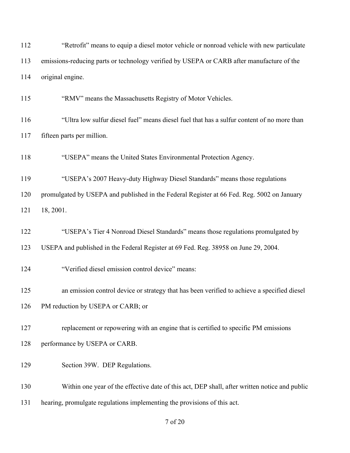| 112 | "Retrofit" means to equip a diesel motor vehicle or nonroad vehicle with new particulate      |
|-----|-----------------------------------------------------------------------------------------------|
| 113 | emissions-reducing parts or technology verified by USEPA or CARB after manufacture of the     |
| 114 | original engine.                                                                              |
| 115 | "RMV" means the Massachusetts Registry of Motor Vehicles.                                     |
| 116 | "Ultra low sulfur diesel fuel" means diesel fuel that has a sulfur content of no more than    |
| 117 | fifteen parts per million.                                                                    |
| 118 | "USEPA" means the United States Environmental Protection Agency.                              |
| 119 | "USEPA's 2007 Heavy-duty Highway Diesel Standards" means those regulations                    |
| 120 | promulgated by USEPA and published in the Federal Register at 66 Fed. Reg. 5002 on January    |
| 121 | 18, 2001.                                                                                     |
| 122 | "USEPA's Tier 4 Nonroad Diesel Standards" means those regulations promulgated by              |
| 123 | USEPA and published in the Federal Register at 69 Fed. Reg. 38958 on June 29, 2004.           |
| 124 | "Verified diesel emission control device" means:                                              |
| 125 | an emission control device or strategy that has been verified to achieve a specified diesel   |
| 126 | PM reduction by USEPA or CARB; or                                                             |
| 127 | replacement or repowering with an engine that is certified to specific PM emissions           |
| 128 | performance by USEPA or CARB.                                                                 |
| 129 | Section 39W. DEP Regulations.                                                                 |
| 130 | Within one year of the effective date of this act, DEP shall, after written notice and public |
| 131 | hearing, promulgate regulations implementing the provisions of this act.                      |
|     |                                                                                               |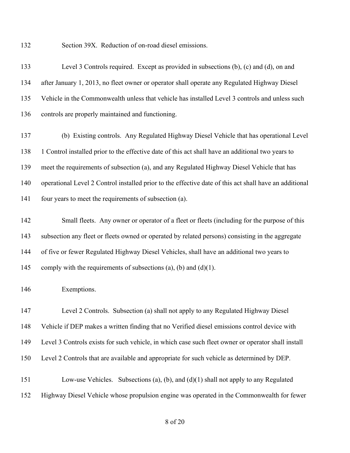Section 39X. Reduction of on-road diesel emissions.

 Level 3 Controls required. Except as provided in subsections (b), (c) and (d), on and after January 1, 2013, no fleet owner or operator shall operate any Regulated Highway Diesel Vehicle in the Commonwealth unless that vehicle has installed Level 3 controls and unless such controls are properly maintained and functioning.

 (b) Existing controls. Any Regulated Highway Diesel Vehicle that has operational Level 1 Control installed prior to the effective date of this act shall have an additional two years to meet the requirements of subsection (a), and any Regulated Highway Diesel Vehicle that has operational Level 2 Control installed prior to the effective date of this act shall have an additional four years to meet the requirements of subsection (a).

 Small fleets. Any owner or operator of a fleet or fleets (including for the purpose of this subsection any fleet or fleets owned or operated by related persons) consisting in the aggregate of five or fewer Regulated Highway Diesel Vehicles, shall have an additional two years to 145 comply with the requirements of subsections (a), (b) and (d)(1).

Exemptions.

 Level 2 Controls. Subsection (a) shall not apply to any Regulated Highway Diesel Vehicle if DEP makes a written finding that no Verified diesel emissions control device with Level 3 Controls exists for such vehicle, in which case such fleet owner or operator shall install Level 2 Controls that are available and appropriate for such vehicle as determined by DEP.

 Low-use Vehicles. Subsections (a), (b), and (d)(1) shall not apply to any Regulated Highway Diesel Vehicle whose propulsion engine was operated in the Commonwealth for fewer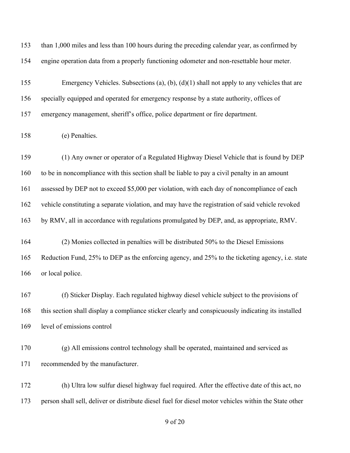| 153 | than 1,000 miles and less than 100 hours during the preceding calendar year, as confirmed by          |
|-----|-------------------------------------------------------------------------------------------------------|
| 154 | engine operation data from a properly functioning odometer and non-resettable hour meter.             |
| 155 | Emergency Vehicles. Subsections (a), (b), (d)(1) shall not apply to any vehicles that are             |
| 156 | specially equipped and operated for emergency response by a state authority, offices of               |
| 157 | emergency management, sheriff's office, police department or fire department.                         |
| 158 | (e) Penalties.                                                                                        |
| 159 | (1) Any owner or operator of a Regulated Highway Diesel Vehicle that is found by DEP                  |
| 160 | to be in noncompliance with this section shall be liable to pay a civil penalty in an amount          |
| 161 | assessed by DEP not to exceed \$5,000 per violation, with each day of noncompliance of each           |
| 162 | vehicle constituting a separate violation, and may have the registration of said vehicle revoked      |
| 163 | by RMV, all in accordance with regulations promulgated by DEP, and, as appropriate, RMV.              |
| 164 | (2) Monies collected in penalties will be distributed 50% to the Diesel Emissions                     |
| 165 | Reduction Fund, 25% to DEP as the enforcing agency, and 25% to the ticketing agency, i.e. state       |
| 166 | or local police.                                                                                      |
| 167 | (f) Sticker Display. Each regulated highway diesel vehicle subject to the provisions of               |
| 168 | this section shall display a compliance sticker clearly and conspicuously indicating its installed    |
| 169 | level of emissions control                                                                            |
| 170 | (g) All emissions control technology shall be operated, maintained and serviced as                    |
| 171 | recommended by the manufacturer.                                                                      |
| 172 | (h) Ultra low sulfur diesel highway fuel required. After the effective date of this act, no           |
| 173 | person shall sell, deliver or distribute diesel fuel for diesel motor vehicles within the State other |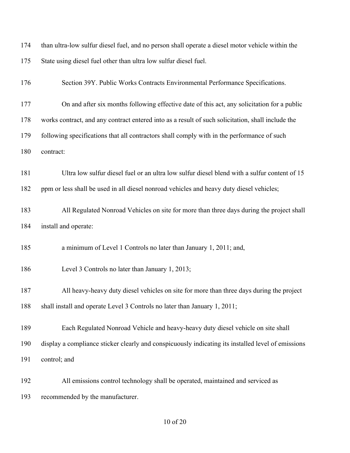| 174 | than ultra-low sulfur diesel fuel, and no person shall operate a diesel motor vehicle within the   |
|-----|----------------------------------------------------------------------------------------------------|
| 175 | State using diesel fuel other than ultra low sulfur diesel fuel.                                   |
| 176 | Section 39Y. Public Works Contracts Environmental Performance Specifications.                      |
| 177 | On and after six months following effective date of this act, any solicitation for a public        |
| 178 | works contract, and any contract entered into as a result of such solicitation, shall include the  |
| 179 | following specifications that all contractors shall comply with in the performance of such         |
| 180 | contract:                                                                                          |
| 181 | Ultra low sulfur diesel fuel or an ultra low sulfur diesel blend with a sulfur content of 15       |
| 182 | ppm or less shall be used in all diesel nonroad vehicles and heavy duty diesel vehicles;           |
| 183 | All Regulated Nonroad Vehicles on site for more than three days during the project shall           |
| 184 | install and operate:                                                                               |
| 185 | a minimum of Level 1 Controls no later than January 1, 2011; and,                                  |
| 186 | Level 3 Controls no later than January 1, 2013;                                                    |
| 187 | All heavy-heavy duty diesel vehicles on site for more than three days during the project           |
| 188 | shall install and operate Level 3 Controls no later than January 1, 2011;                          |
| 189 | Each Regulated Nonroad Vehicle and heavy-heavy duty diesel vehicle on site shall                   |
| 190 | display a compliance sticker clearly and conspicuously indicating its installed level of emissions |
| 191 | control; and                                                                                       |
| 192 | All emissions control technology shall be operated, maintained and serviced as                     |
| 193 | recommended by the manufacturer.                                                                   |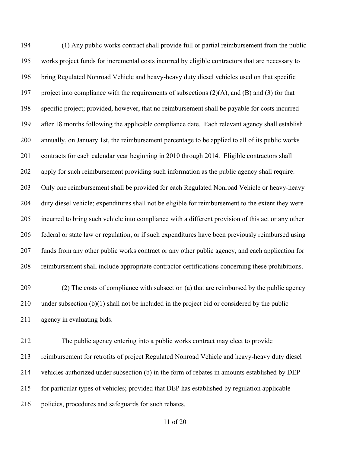(1) Any public works contract shall provide full or partial reimbursement from the public works project funds for incremental costs incurred by eligible contractors that are necessary to bring Regulated Nonroad Vehicle and heavy-heavy duty diesel vehicles used on that specific project into compliance with the requirements of subsections (2)(A), and (B) and (3) for that specific project; provided, however, that no reimbursement shall be payable for costs incurred after 18 months following the applicable compliance date. Each relevant agency shall establish annually, on January 1st, the reimbursement percentage to be applied to all of its public works contracts for each calendar year beginning in 2010 through 2014. Eligible contractors shall apply for such reimbursement providing such information as the public agency shall require. Only one reimbursement shall be provided for each Regulated Nonroad Vehicle or heavy-heavy duty diesel vehicle; expenditures shall not be eligible for reimbursement to the extent they were incurred to bring such vehicle into compliance with a different provision of this act or any other federal or state law or regulation, or if such expenditures have been previously reimbursed using funds from any other public works contract or any other public agency, and each application for reimbursement shall include appropriate contractor certifications concerning these prohibitions.

 (2) The costs of compliance with subsection (a) that are reimbursed by the public agency under subsection (b)(1) shall not be included in the project bid or considered by the public agency in evaluating bids.

 The public agency entering into a public works contract may elect to provide reimbursement for retrofits of project Regulated Nonroad Vehicle and heavy-heavy duty diesel vehicles authorized under subsection (b) in the form of rebates in amounts established by DEP for particular types of vehicles; provided that DEP has established by regulation applicable policies, procedures and safeguards for such rebates.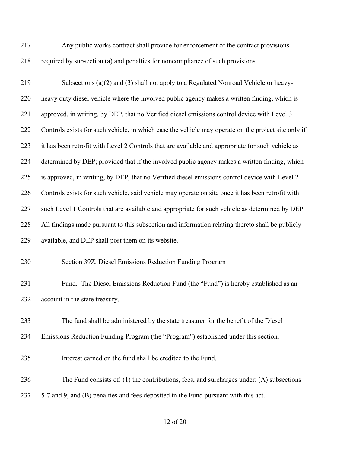Any public works contract shall provide for enforcement of the contract provisions required by subsection (a) and penalties for noncompliance of such provisions.

 Subsections (a)(2) and (3) shall not apply to a Regulated Nonroad Vehicle or heavy- heavy duty diesel vehicle where the involved public agency makes a written finding, which is approved, in writing, by DEP, that no Verified diesel emissions control device with Level 3 Controls exists for such vehicle, in which case the vehicle may operate on the project site only if it has been retrofit with Level 2 Controls that are available and appropriate for such vehicle as determined by DEP; provided that if the involved public agency makes a written finding, which is approved, in writing, by DEP, that no Verified diesel emissions control device with Level 2 Controls exists for such vehicle, said vehicle may operate on site once it has been retrofit with such Level 1 Controls that are available and appropriate for such vehicle as determined by DEP. All findings made pursuant to this subsection and information relating thereto shall be publicly available, and DEP shall post them on its website. Section 39Z. Diesel Emissions Reduction Funding Program Fund. The Diesel Emissions Reduction Fund (the "Fund") is hereby established as an account in the state treasury. The fund shall be administered by the state treasurer for the benefit of the Diesel Emissions Reduction Funding Program (the "Program") established under this section.

Interest earned on the fund shall be credited to the Fund.

The Fund consists of: (1) the contributions, fees, and surcharges under: (A) subsections

5-7 and 9; and (B) penalties and fees deposited in the Fund pursuant with this act.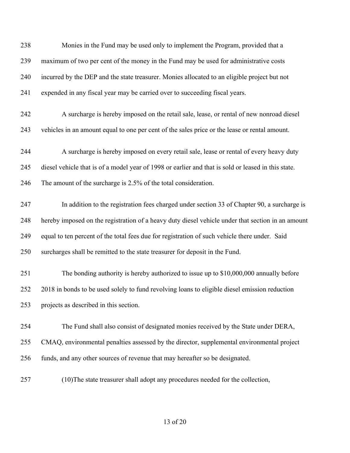| 238 | Monies in the Fund may be used only to implement the Program, provided that a                       |
|-----|-----------------------------------------------------------------------------------------------------|
| 239 | maximum of two per cent of the money in the Fund may be used for administrative costs               |
| 240 | incurred by the DEP and the state treasurer. Monies allocated to an eligible project but not        |
| 241 | expended in any fiscal year may be carried over to succeeding fiscal years.                         |
| 242 | A surcharge is hereby imposed on the retail sale, lease, or rental of new nonroad diesel            |
| 243 | vehicles in an amount equal to one per cent of the sales price or the lease or rental amount.       |
| 244 | A surcharge is hereby imposed on every retail sale, lease or rental of every heavy duty             |
| 245 | diesel vehicle that is of a model year of 1998 or earlier and that is sold or leased in this state. |
| 246 | The amount of the surcharge is 2.5% of the total consideration.                                     |
| 247 | In addition to the registration fees charged under section 33 of Chapter 90, a surcharge is         |
| 248 | hereby imposed on the registration of a heavy duty diesel vehicle under that section in an amount   |
| 249 | equal to ten percent of the total fees due for registration of such vehicle there under. Said       |
| 250 | surcharges shall be remitted to the state treasurer for deposit in the Fund.                        |
| 251 | The bonding authority is hereby authorized to issue up to \$10,000,000 annually before              |
| 252 | 2018 in bonds to be used solely to fund revolving loans to eligible diesel emission reduction       |
| 253 | projects as described in this section.                                                              |
| 254 | The Fund shall also consist of designated monies received by the State under DERA,                  |
| 255 | CMAQ, environmental penalties assessed by the director, supplemental environmental project          |
| 256 | funds, and any other sources of revenue that may hereafter so be designated.                        |
| 257 | (10) The state treasurer shall adopt any procedures needed for the collection,                      |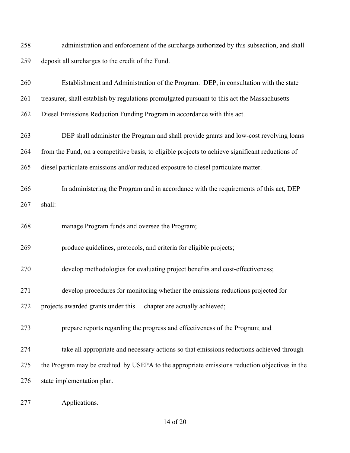| 258 | administration and enforcement of the surcharge authorized by this subsection, and shall         |
|-----|--------------------------------------------------------------------------------------------------|
| 259 | deposit all surcharges to the credit of the Fund.                                                |
| 260 | Establishment and Administration of the Program. DEP, in consultation with the state             |
| 261 | treasurer, shall establish by regulations promulgated pursuant to this act the Massachusetts     |
| 262 | Diesel Emissions Reduction Funding Program in accordance with this act.                          |
| 263 | DEP shall administer the Program and shall provide grants and low-cost revolving loans           |
| 264 | from the Fund, on a competitive basis, to eligible projects to achieve significant reductions of |
| 265 | diesel particulate emissions and/or reduced exposure to diesel particulate matter.               |
| 266 | In administering the Program and in accordance with the requirements of this act, DEP            |
| 267 | shall:                                                                                           |
| 268 | manage Program funds and oversee the Program;                                                    |
| 269 | produce guidelines, protocols, and criteria for eligible projects;                               |
| 270 | develop methodologies for evaluating project benefits and cost-effectiveness;                    |
| 271 | develop procedures for monitoring whether the emissions reductions projected for                 |
| 272 | projects awarded grants under this chapter are actually achieved;                                |
| 273 | prepare reports regarding the progress and effectiveness of the Program; and                     |
| 274 | take all appropriate and necessary actions so that emissions reductions achieved through         |
| 275 | the Program may be credited by USEPA to the appropriate emissions reduction objectives in the    |
| 276 | state implementation plan.                                                                       |
| 277 | Applications.                                                                                    |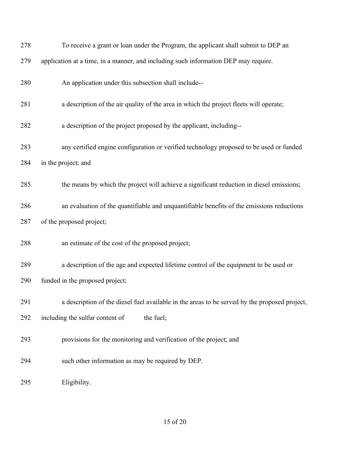| 278 | To receive a grant or loan under the Program, the applicant shall submit to DEP an            |
|-----|-----------------------------------------------------------------------------------------------|
| 279 | application at a time, in a manner, and including such information DEP may require.           |
| 280 | An application under this subsection shall include--                                          |
| 281 | a description of the air quality of the area in which the project fleets will operate;        |
| 282 | a description of the project proposed by the applicant, including--                           |
| 283 | any certified engine configuration or verified technology proposed to be used or funded       |
| 284 | in the project; and                                                                           |
| 285 | the means by which the project will achieve a significant reduction in diesel emissions;      |
| 286 | an evaluation of the quantifiable and unquantifiable benefits of the emissions reductions     |
| 287 | of the proposed project;                                                                      |
| 288 | an estimate of the cost of the proposed project;                                              |
| 289 | a description of the age and expected lifetime control of the equipment to be used or         |
| 290 | funded in the proposed project;                                                               |
| 291 | a description of the diesel fuel available in the areas to be served by the proposed project, |
| 292 | including the sulfur content of<br>the fuel;                                                  |
| 293 | provisions for the monitoring and verification of the project; and                            |
| 294 | such other information as may be required by DEP.                                             |
| 295 | Eligibility.                                                                                  |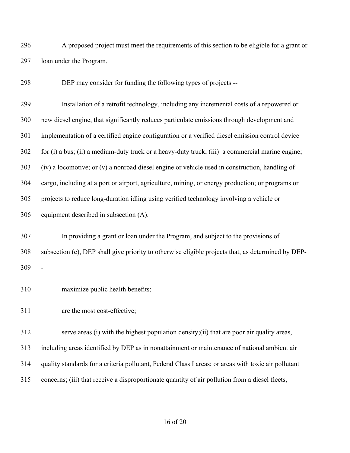A proposed project must meet the requirements of this section to be eligible for a grant or loan under the Program.

DEP may consider for funding the following types of projects --

 Installation of a retrofit technology, including any incremental costs of a repowered or new diesel engine, that significantly reduces particulate emissions through development and implementation of a certified engine configuration or a verified diesel emission control device for (i) a bus; (ii) a medium-duty truck or a heavy-duty truck; (iii) a commercial marine engine; (iv) a locomotive; or (v) a nonroad diesel engine or vehicle used in construction, handling of cargo, including at a port or airport, agriculture, mining, or energy production; or programs or projects to reduce long-duration idling using verified technology involving a vehicle or equipment described in subsection (A).

 In providing a grant or loan under the Program, and subject to the provisions of subsection (c), DEP shall give priority to otherwise eligible projects that, as determined by DEP-

maximize public health benefits;

are the most cost-effective;

 serve areas (i) with the highest population density;(ii) that are poor air quality areas, including areas identified by DEP as in nonattainment or maintenance of national ambient air

- quality standards for a criteria pollutant, Federal Class I areas; or areas with toxic air pollutant
- concerns; (iii) that receive a disproportionate quantity of air pollution from a diesel fleets,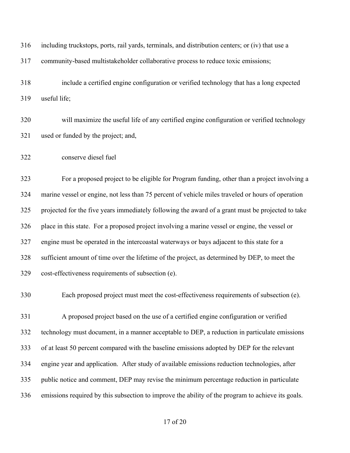including truckstops, ports, rail yards, terminals, and distribution centers; or (iv) that use a community-based multistakeholder collaborative process to reduce toxic emissions; include a certified engine configuration or verified technology that has a long expected useful life; will maximize the useful life of any certified engine configuration or verified technology used or funded by the project; and, conserve diesel fuel For a proposed project to be eligible for Program funding, other than a project involving a marine vessel or engine, not less than 75 percent of vehicle miles traveled or hours of operation projected for the five years immediately following the award of a grant must be projected to take place in this state. For a proposed project involving a marine vessel or engine, the vessel or engine must be operated in the intercoastal waterways or bays adjacent to this state for a sufficient amount of time over the lifetime of the project, as determined by DEP, to meet the cost-effectiveness requirements of subsection (e). Each proposed project must meet the cost-effectiveness requirements of subsection (e). A proposed project based on the use of a certified engine configuration or verified technology must document, in a manner acceptable to DEP, a reduction in particulate emissions of at least 50 percent compared with the baseline emissions adopted by DEP for the relevant engine year and application. After study of available emissions reduction technologies, after public notice and comment, DEP may revise the minimum percentage reduction in particulate emissions required by this subsection to improve the ability of the program to achieve its goals.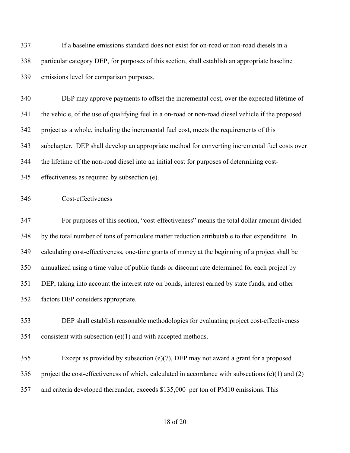If a baseline emissions standard does not exist for on-road or non-road diesels in a particular category DEP, for purposes of this section, shall establish an appropriate baseline emissions level for comparison purposes.

 DEP may approve payments to offset the incremental cost, over the expected lifetime of the vehicle, of the use of qualifying fuel in a on-road or non-road diesel vehicle if the proposed project as a whole, including the incremental fuel cost, meets the requirements of this subchapter. DEP shall develop an appropriate method for converting incremental fuel costs over the lifetime of the non-road diesel into an initial cost for purposes of determining cost-

effectiveness as required by subsection (e).

Cost-effectiveness

 For purposes of this section, "cost-effectiveness" means the total dollar amount divided by the total number of tons of particulate matter reduction attributable to that expenditure. In calculating cost-effectiveness, one-time grants of money at the beginning of a project shall be annualized using a time value of public funds or discount rate determined for each project by DEP, taking into account the interest rate on bonds, interest earned by state funds, and other factors DEP considers appropriate.

- DEP shall establish reasonable methodologies for evaluating project cost-effectiveness consistent with subsection (e)(1) and with accepted methods.
- Except as provided by subsection (e)(7), DEP may not award a grant for a proposed project the cost-effectiveness of which, calculated in accordance with subsections (e)(1) and (2) and criteria developed thereunder, exceeds \$135,000 per ton of PM10 emissions. This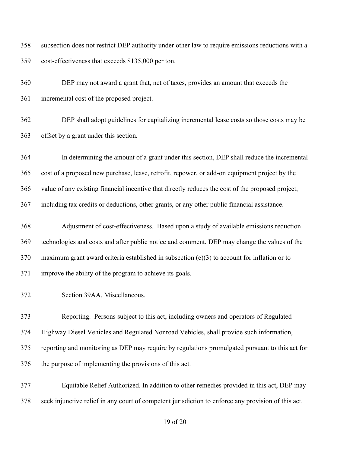subsection does not restrict DEP authority under other law to require emissions reductions with a cost-effectiveness that exceeds \$135,000 per ton.

 DEP may not award a grant that, net of taxes, provides an amount that exceeds the incremental cost of the proposed project.

 DEP shall adopt guidelines for capitalizing incremental lease costs so those costs may be offset by a grant under this section.

 In determining the amount of a grant under this section, DEP shall reduce the incremental cost of a proposed new purchase, lease, retrofit, repower, or add-on equipment project by the value of any existing financial incentive that directly reduces the cost of the proposed project, including tax credits or deductions, other grants, or any other public financial assistance.

 Adjustment of cost-effectiveness. Based upon a study of available emissions reduction technologies and costs and after public notice and comment, DEP may change the values of the maximum grant award criteria established in subsection (e)(3) to account for inflation or to improve the ability of the program to achieve its goals.

Section 39AA. Miscellaneous.

 Reporting. Persons subject to this act, including owners and operators of Regulated Highway Diesel Vehicles and Regulated Nonroad Vehicles, shall provide such information, reporting and monitoring as DEP may require by regulations promulgated pursuant to this act for the purpose of implementing the provisions of this act.

 Equitable Relief Authorized. In addition to other remedies provided in this act, DEP may seek injunctive relief in any court of competent jurisdiction to enforce any provision of this act.